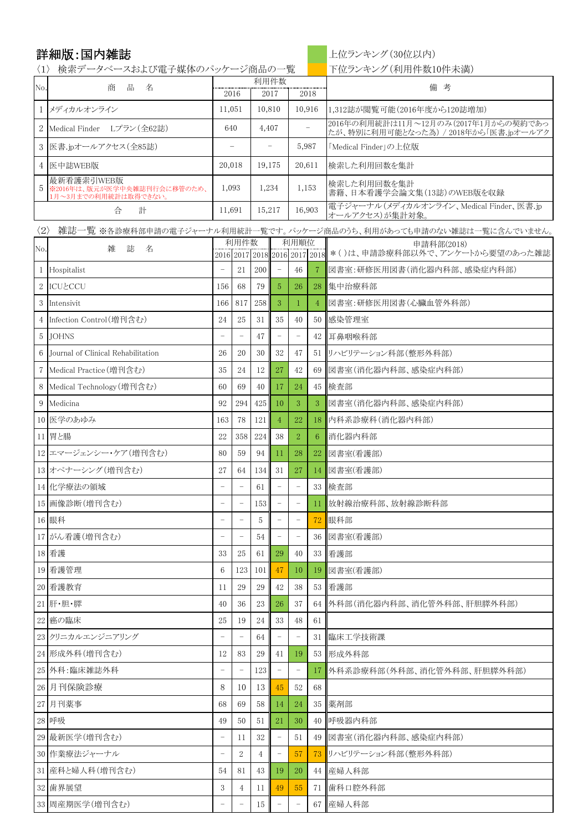詳細版:国内雑誌 インスタントリング トローク トロランキング(30位以内)

〈1〉 検索データベースおよび電子媒体のパッケージ商品の一覧 | 下位ランキング(利用件数10件未満)

| No.                 | 品<br>商<br>名                                                       |                          | 利用件数                     |        |                               |                          |                   | 備 考                                                                  |
|---------------------|-------------------------------------------------------------------|--------------------------|--------------------------|--------|-------------------------------|--------------------------|-------------------|----------------------------------------------------------------------|
|                     |                                                                   |                          | 2016                     |        | 2017                          | 2018                     |                   |                                                                      |
| 1                   | メディカルオンライン                                                        | 11,051                   |                          | 10,810 |                               | 10,916                   |                   | 1,312誌が閲覧可能(2016年度から120誌増加)<br>2016年の利用統計は11月~12月のみ(2017年1月からの契約であっ  |
| $\overline{2}$      | Medical Finder Lプラン(全62誌)                                         | 640                      |                          |        | 4,407                         |                          | $\qquad \qquad -$ | たが、特別に利用可能となった為) / 2018年から「医書.jpオールアク                                |
| 3                   | 医書.jpオールアクセス(全85誌)                                                |                          |                          |        |                               | 5,987                    |                   | 「Medical Finder」の上位版                                                 |
| $\overline{4}$      | 医中誌WEB版                                                           | 20,018                   |                          | 19,175 |                               | 20,611                   |                   | 検索した利用回数を集計                                                          |
| 5                   | 最新看護索引WEB版<br>※2016年は、版元が医学中央雑誌刊行会に移管のため、<br>1月~3月までの利用統計は取得できない。 | 1,093                    |                          | 1,234  |                               | 1,153                    |                   | 検索した利用回数を集計<br>書籍、日本看護学会論文集(13誌)のWEB版を収録                             |
|                     | 合<br>計                                                            | 11,691                   |                          | 15,217 |                               | 16,903                   |                   | 電子ジャーナル(メディカルオンライン、Medical Finder、医書.jp<br>オールアクセス)が集計対象。            |
| $\langle 2 \rangle$ |                                                                   |                          |                          |        |                               |                          |                   | ,雑誌一覧 ※各診療科部申請の電子ジャーナル利用統計一覧です。パッケージ商品のうち、利用があっても申請のない雑誌は一覧に含んでいません。 |
| No.                 | 雑<br>誌<br>名                                                       |                          | 利用件数                     |        |                               | 利用順位                     |                   | 申請科部(2018)<br>*()は、申請診療科部以外で、アンケートから要望のあった雑誌                         |
| 1                   | Hospitalist                                                       |                          | 21                       | 200    | 2016 2017 2018 2016 2017 2018 | 46                       | 7                 | 図書室:研修医用図書(消化器内科部、感染症内科部)                                            |
| $\mathbf{2}$        | <b>ICUとCCU</b>                                                    | 156                      | 68                       | 79     | 5                             | 26                       | 28                | 集中治療科部                                                               |
| 3                   | Intensivit                                                        | 166                      | 817                      | 258    | 3                             | $\mathbf{1}$             | $\overline{4}$    | 図書室:研修医用図書(心臟血管外科部)                                                  |
| $\overline{4}$      | Infection Control(増刊含む)                                           | 24                       | 25                       | 31     | 35                            | 40                       | 50                | 感染管理室                                                                |
| 5                   | <b>JOHNS</b>                                                      |                          | $\overline{\phantom{0}}$ | 47     |                               | $\overline{\phantom{0}}$ |                   | 42 耳鼻咽喉科部                                                            |
| 6                   | Journal of Clinical Rehabilitation                                | 26                       | 20                       | 30     | 32                            | 47                       |                   | 51 リハビリテーション科部(整形外科部)                                                |
| $\overline{7}$      | Medical Practice (増刊含む)                                           | 35                       | 24                       | 12     | 27                            | 42                       | 69                | 図書室(消化器内科部、感染症内科部)                                                   |
| 8                   | Medical Technology (増刊含む)                                         | 60                       | 69                       | 40     | 17                            | 24                       |                   | 45 検査部                                                               |
| 9                   | Medicina                                                          | 92                       | 294                      | 425    | 10                            | 3                        | 3                 | 図書室(消化器内科部、感染症内科部)                                                   |
|                     | 10 医学のあゆみ                                                         | 163                      | 78                       | 121    | $\overline{4}$                | 22                       | 18                | 内科系診療科(消化器内科部)                                                       |
|                     | 11 胃と腸                                                            | 22                       | 358                      | 224    | 38                            | $\overline{2}$           | 6                 | 消化器内科部                                                               |
|                     | 12 エマージェンシー・ケア(増刊含む)                                              | 80                       | 59                       | 94     | 11                            | 28                       | 22                | 図書室(看護部)                                                             |
|                     | 13 オペナーシング (増刊含む)                                                 | 27                       | 64                       | 134    | 31                            | 27                       | 14                | 図書室(看護部)                                                             |
|                     | 14 化学療法の領域                                                        | $\overline{a}$           | $\overline{\phantom{0}}$ | 61     |                               | $\qquad \qquad -$        |                   | 33 検査部                                                               |
|                     | 15 画像診断(増刊含む)                                                     |                          | -                        | 153    |                               |                          | $11^{\circ}$      | 放射線治療科部、放射線診断科部                                                      |
|                     | 16 眼科                                                             |                          |                          | 5      |                               |                          |                   | 72 眼科部                                                               |
|                     | 17 がん看護(増刊含む)                                                     |                          | $\overline{\phantom{a}}$ | 54     |                               | $\qquad \qquad -$        | 36                | 図書室(看護部)                                                             |
|                     | 18 看護                                                             | 33                       | 25                       | 61     | 29                            | 40                       | $33-1$            | 看護部                                                                  |
|                     | 19 看護管理                                                           | 6                        | 123                      | 101    | 47                            | 10                       | 19                | 図書室(看護部)                                                             |
|                     | 20 看護教育                                                           | 11                       | 29                       | 29     | 42                            | 38                       | 53                | 看護部                                                                  |
|                     | 21 肝·胆·膵                                                          | 40                       | 36                       | 23     | 26                            | 37                       |                   | 64   外科部(消化器内科部、消化管外科部、肝胆膵外科部)                                       |
|                     | 22 癌の臨床                                                           | 25                       | 19                       | 24     | 33                            | 48                       | 61                |                                                                      |
|                     | 23 クリニカルエンジニアリング                                                  | $\overline{\phantom{0}}$ | $\qquad \qquad -$        | 64     | $\overline{\phantom{a}}$      | $\overline{\phantom{a}}$ | 31                | 臨床工学技術課                                                              |
|                     | 24 形成外科(増刊含む)                                                     | 12                       | 83                       | 29     | 41                            | 19                       | 53 l              | 形成外科部                                                                |
|                     | 25 外科:臨床雑誌外科                                                      | $\overline{\phantom{0}}$ | -                        | 123    |                               | $\qquad \qquad -$        | 17.               | 外科系診療科部(外科部、消化管外科部、肝胆膵外科部)                                           |
|                     | 26 月刊保険診療                                                         | 8                        | 10                       | 13     | 45                            | 52                       | 68                |                                                                      |
|                     | 27 月刊薬事                                                           | 68                       | 69                       | 58     | 14                            | 24                       | 35                | 薬剤部                                                                  |
|                     | 28 呼吸                                                             | 49                       | 50                       | 51     | 21                            | 30                       | 40 I              | 呼吸器内科部                                                               |
|                     | 29 最新医学(増刊含む)                                                     | -                        | 11                       | 32     | $\overline{\phantom{a}}$      | 51                       | 49                | 図書室(消化器内科部、感染症内科部)                                                   |
|                     | 30 作業療法ジャーナル                                                      | $\overline{\phantom{0}}$ | 2                        | 4      | $\overline{\phantom{0}}$      | 57                       | 73                | リハビリテーション科部(整形外科部)                                                   |
|                     | 31  産科と婦人科(増刊含む)                                                  | 54                       | 81                       | 43     | 19                            | 20                       |                   | 44 産婦人科部                                                             |
|                     | 32 歯界展望                                                           | 3                        | 4                        | 11     | 49                            | 55                       | 71                | 歯科口腔外科部                                                              |
|                     | 33 周産期医学(増刊含む)                                                    |                          | $\overline{\phantom{0}}$ | 15     |                               | $\qquad \qquad -$        |                   | 67 産婦人科部                                                             |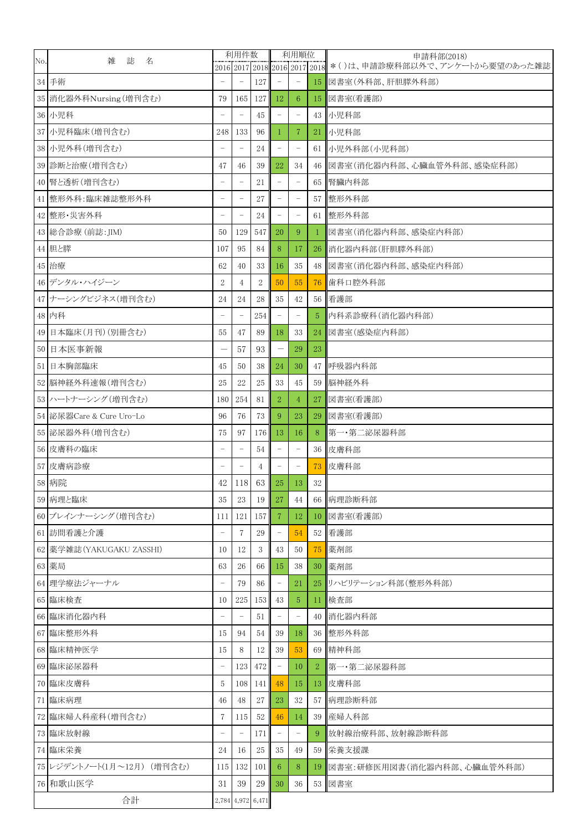| No. | 雑<br>誌<br>名                | 利用件数<br>2016 2017 2018 2016 2017 2018 |                          |                   | 利用順位                     |                          |                  | 申請科部(2018)<br>*()は、申請診療科部以外で、アンケートから要望のあった雑誌 |
|-----|----------------------------|---------------------------------------|--------------------------|-------------------|--------------------------|--------------------------|------------------|----------------------------------------------|
|     | 34 手術                      | $\overline{\phantom{0}}$              | $\overline{\phantom{a}}$ | 127               | $\overline{\phantom{a}}$ | $\overline{\phantom{a}}$ | 15 <sup>15</sup> | 図書室(外科部、肝胆膵外科部)                              |
|     | 35 消化器外科Nursing (増刊含む)     | 79                                    | 165                      | 127               | 12                       | 6                        | 15 <sub>1</sub>  | 図書室(看護部)                                     |
|     | 36 小児科                     |                                       |                          | 45                | $\overline{\phantom{a}}$ | $\qquad \qquad -$        |                  | 43   小児科部                                    |
|     | 37 小児科臨床(増刊含む)             | 248                                   | 133                      | 96                | 1                        | $\overline{7}$           | 21               | 小児科部                                         |
|     | 38 小児外科(増刊含む)              |                                       |                          | 24                | $\qquad \qquad -$        | $\qquad \qquad -$        |                  | 61 小児外科部(小児科部)                               |
|     |                            |                                       |                          |                   |                          |                          |                  |                                              |
|     | 39 診断と治療(増刊含む)             | 47                                    | 46                       | 39                | 22                       | 34                       |                  | 46   図書室(消化器内科部、心臓血管外科部、感染症科部)               |
|     | 40 腎と透析(増刊含む)              | $\overline{\phantom{0}}$              | $\overline{\phantom{a}}$ | 21                | $\qquad \qquad -$        | $\overline{\phantom{a}}$ | 65               | 腎臟内科部                                        |
|     | 41 整形外科:臨床雑誌整形外科           | $\overline{\phantom{0}}$              | $\overline{\phantom{a}}$ | 27                | $\overline{\phantom{a}}$ | $\overline{\phantom{a}}$ |                  | 57 整形外科部                                     |
|     | 42 整形·災害外科                 | $\overline{a}$                        | $\overline{\phantom{a}}$ | 24                | $\overline{\phantom{a}}$ | $\overline{\phantom{a}}$ |                  | 61 整形外科部                                     |
|     | 43 総合診療 (前誌: JIM)          | 50                                    | 129                      | 547               | 20                       | 9                        | 1                | 図書室(消化器内科部、感染症内科部)                           |
|     | 44 胆と膵                     | 107                                   | 95                       | 84                | 8                        | 17                       |                  | 26 消化器内科部(肝胆膵外科部)                            |
|     | 45 治療                      | 62                                    | 40                       | 33                | 16                       | 35                       |                  | 48 図書室(消化器内科部、感染症内科部)                        |
|     | 46 デンタル・ハイジーン              | $\boldsymbol{2}$                      | 4                        | $\overline{2}$    | 50                       | 55                       | 76               | 歯科口腔外科部                                      |
|     | 47 ナーシングビジネス(増刊含む)         | 24                                    | 24                       | 28                | 35                       | 42                       |                  | 56 看護部                                       |
|     | 48 内科                      | ۳                                     | $\overline{\phantom{0}}$ | 254               | $\overline{\phantom{a}}$ | $\qquad \qquad -$        | 5                | 内科系診療科(消化器内科部)                               |
|     | 49 日本臨床(月刊) (別冊含む)         | 55                                    | 47                       | 89                | 18                       | 33                       | 24               | 図書室(感染症内科部)                                  |
|     | 50 日本医事新報                  |                                       | 57                       | 93                |                          | 29                       | 23               |                                              |
|     | 51 日本胸部臨床                  | 45                                    | 50                       | 38                | 24                       | 30                       |                  | 47 呼吸器内科部                                    |
|     | 52 脳神経外科速報(増刊含む)           | 25                                    | 22                       | 25                | 33                       | 45                       | 59               | 脳神経外科                                        |
|     | 53 ハートナーシング (増刊含む)         | 180                                   | 254                      | 81                | $\overline{2}$           | $\overline{4}$           | 27               | 図書室(看護部)                                     |
|     | 54 泌尿器Care & Cure Uro-Lo   | 96                                    | 76                       | 73                | 9                        | 23                       | 29               | 図書室(看護部)                                     |
|     | 55 泌尿器外科(増刊含む)             | 75                                    | 97                       | 176               | 13                       | 16                       | 8                | 第一·第二泌尿器科部                                   |
|     | 56 皮膚科の臨床                  | $\overline{a}$                        | $\qquad \qquad -$        | 54                | $\qquad \qquad -$        | $\qquad \qquad -$        |                  | 36 皮膚科部                                      |
|     | 57 皮膚病診療                   | $\overline{\phantom{0}}$              | $\overline{\phantom{a}}$ | 4                 | $\overline{\phantom{a}}$ | $\qquad \qquad -$        | 73               | 皮膚科部                                         |
|     | 58 病院                      | 42                                    | 118                      | 63                | 25                       | 13                       | 32               |                                              |
|     | 59 病理と臨床                   | 35                                    | 23                       | 19                | 27                       | 44                       | 66               | 病理診断科部                                       |
|     | 60 ブレインナーシング (増刊含む)        | 111                                   | 121                      | 157               | 7                        | 12                       | 10 <sup>1</sup>  | 図書室(看護部)                                     |
|     | 61 訪問看護と介護                 | $\overline{\phantom{0}}$              | 7                        | 29                | $\qquad \qquad -$        | 54                       |                  | 52 看護部                                       |
|     | 62 薬学雑誌 (YAKUGAKU ZASSHI)  | 10                                    | 12                       | 3                 | 43                       | 50                       | 75 <sub>1</sub>  | 薬剤部                                          |
|     | 63 薬局                      | 63                                    | 26                       | 66                | 15                       | 38                       |                  | 30 薬剤部                                       |
|     | 64 理学療法ジャーナル               | $\overline{\phantom{a}}$              | 79                       | 86                | $\qquad \qquad -$        | 21                       |                  | 25 リハビリテーション科部(整形外科部)                        |
|     | 65 臨床検査                    | 10                                    | 225                      | 153               | 43                       | $\overline{5}$           | $11^{\circ}$     | 検査部                                          |
|     | 66 臨床消化器内科                 |                                       |                          | 51                |                          | $\overline{\phantom{a}}$ | 40               | 消化器内科部                                       |
|     | 67 臨床整形外科                  | 15                                    | 94                       | 54                | 39                       | 18                       |                  | 36 整形外科部                                     |
|     | 68 臨床精神医学                  | 15                                    | 8                        | 12                | 39                       | 53                       |                  | 69 精神科部                                      |
|     | 69 臨床泌尿器科                  | $\qquad \qquad -$                     | 123                      | 472               | $\overline{\phantom{0}}$ | 10                       | 2                | 第一·第二泌尿器科部                                   |
|     | 70 臨床皮膚科                   | 5                                     | <b>108</b>               | 141               | 48                       | 15                       | 13               | 皮膚科部                                         |
|     | 71 臨床病理                    | 46                                    | 48                       | 27                | 23                       | 32                       | 57               | 病理診断科部                                       |
|     | 72 臨床婦人科産科(増刊含む)           | 7                                     | 115                      | 52                | 46                       | 14                       |                  | 39 産婦人科部                                     |
|     | 73 臨床放射線                   | $\overline{\phantom{0}}$              | $\overline{\phantom{a}}$ | 171               | $\qquad \qquad -$        | $\qquad \qquad -$        | 9                | 放射線治療科部、放射線診断科部                              |
|     | 74 臨床栄養                    | 24                                    | 16                       | 25                | 35                       | 49                       |                  | 59 栄養支援課                                     |
|     | 75 レジデントノート(1月~12月) (増刊含む) | 115                                   | 132                      | 101               | 6                        | 8                        | 19 <sup>1</sup>  | 図書室:研修医用図書(消化器内科部、心臓血管外科部)                   |
|     | 76 和歌山医学                   | 31                                    | 39                       | 29                | 30                       | 36                       |                  | 53 図書室                                       |
|     | 合計                         |                                       |                          | 2,784 4,972 6,471 |                          |                          |                  |                                              |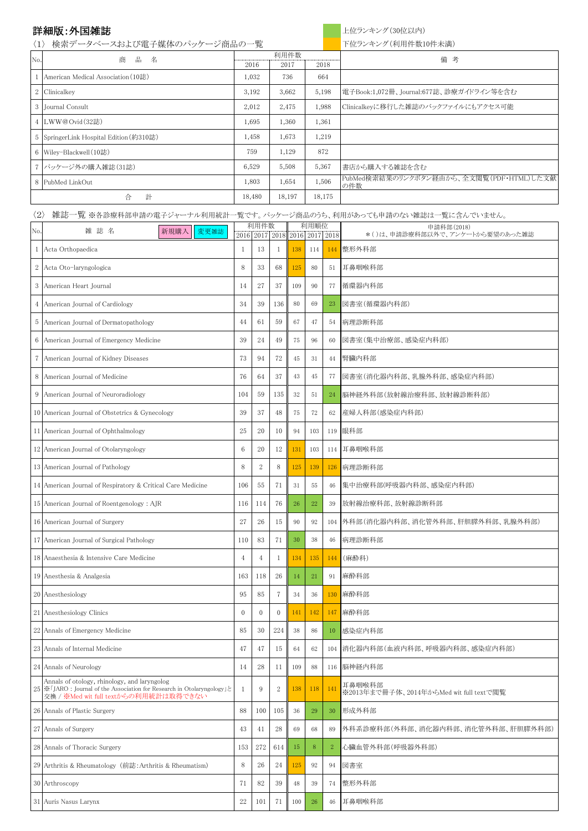## 〈2〉 雑誌一覧 ※各診療科部申請の電子ジャーナル利用統計一覧です。パッケージ商品のうち、利用があっても申請のない雑誌は一覧に含んでいません。

## または、<br>
詳細版:外国雑誌 インプレート インディング(30位以内)

| $\langle 1 \rangle$ | 検索データベースおよび電子媒体のパッケージ商品の一覧              |        | 下位ランキング(利用件数10件未満) |        |                                                 |
|---------------------|-----------------------------------------|--------|--------------------|--------|-------------------------------------------------|
| No.                 | 商<br>品<br>名                             |        | 利用件数               |        | 備<br>考                                          |
|                     |                                         | 2016   | 2017               | 2018   |                                                 |
|                     | American Medical Association (10誌)      | 1,032  | 736                | 664    |                                                 |
|                     | 2 Clinicalkey                           | 3,192  | 3,662              | 5,198  | 電子Book:1,072冊、Journal:677誌、診療ガイドライン等を含む         |
|                     | 3   Journal Consult                     | 2,012  | 2,475              | 1,988  | Clinicalkeyに移行した雑誌のバックファイルにもアクセス可能              |
|                     | 4 LWW@Ovid(32誌)                         | 1,695  | 1,360              | 1,361  |                                                 |
|                     | 5 SpringerLink Hospital Edition (約310誌) | 1,458  | 1,673              | 1,219  |                                                 |
|                     | 6   Wiley-Blackwell $(10$ 誌)            | 759    | 1,129              | 872    |                                                 |
|                     | 7 パッケージ外の購入雑誌(31誌)                      | 6,529  | 5,508              | 5,367  | 書店から購入する雑誌を含む                                   |
|                     | 8 PubMed LinkOut                        | 1,803  | 1,654              | 1,506  | PubMed検索結果のリンクボタン経由から、全文閲覧(PDF・HTML)した文献<br>の件数 |
|                     | 計<br>合                                  | 18,480 | 18,197             | 18,175 |                                                 |

| No.            | 雑誌名<br>新規購入<br>変更雑誌                                                                                                                                                 |                | 利用件数           |                               |     | 利用順位   |                | 申請科部(2018)<br>*()は、申請診療科部以外で、アンケートから要望のあった雑誌      |
|----------------|---------------------------------------------------------------------------------------------------------------------------------------------------------------------|----------------|----------------|-------------------------------|-----|--------|----------------|---------------------------------------------------|
|                |                                                                                                                                                                     |                |                | 2016 2017 2018 2016 2017 2018 |     |        |                |                                                   |
|                | Acta Orthopaedica                                                                                                                                                   | -1             | 13             | 1                             | 138 | 114    |                | 144 整形外科部                                         |
| $\overline{2}$ | Acta Oto-laryngologica                                                                                                                                              | 8              | 33             | 68                            | 125 | 80     | 51             | 耳鼻咽喉科部                                            |
| 3              | American Heart Journal                                                                                                                                              | 14             | 27             | 37                            | 109 | 90     | 77             | 循環器内科部                                            |
| 4              | American Journal of Cardiology                                                                                                                                      | 34             | 39             | 136                           | 80  | 69     | 23             | 図書室(循環器内科部)                                       |
| 5              | American Journal of Dermatopathology                                                                                                                                | 44             | 61             | 59                            | 67  | 47     | 54             | 病理診断科部                                            |
|                | 6 American Journal of Emergency Medicine                                                                                                                            | 39             | 24             | 49                            | 75  | 96     | 60             | 図書室(集中治療部、感染症内科部)                                 |
| 7              | American Journal of Kidney Diseases                                                                                                                                 | 73             | 94             | $72\,$                        | 45  | 31     | 44             | 腎臓内科部                                             |
| 8              | American Journal of Medicine                                                                                                                                        | 76             | 64             | 37                            | 43  | 45     | 77             | 図書室(消化器内科部、乳腺外科部、感染症内科部)                          |
| 9              | American Journal of Neuroradiology                                                                                                                                  | 104            | 59             | 135                           | 32  | 51     | 24             | 脳神経外科部(放射線治療科部、放射線診断科部)                           |
|                | 10 American Journal of Obstetrics & Gynecology                                                                                                                      | 39             | 37             | 48                            | 75  | $72\,$ | 62             | 産婦人科部(感染症内科部)                                     |
|                | 11 American Journal of Ophthalmology                                                                                                                                | 25             | 20             | 10                            | 94  | 103    |                | 119 眼科部                                           |
|                | 12 American Journal of Otolaryngology                                                                                                                               | 6              | 20             | 12                            | 131 | 103    |                | 114 耳鼻咽喉科部                                        |
|                | 13 American Journal of Pathology                                                                                                                                    | 8              | 2              | 8                             | 125 | 139    |                | 126 病理診断科部                                        |
|                | 14 American Journal of Respiratory & Critical Care Medicine                                                                                                         | 106            | 55             | 71                            | 31  | 55     |                | 46 集中治療科部(呼吸器内科部、感染症内科部)                          |
|                | 15 American Journal of Roentgenology: AJR                                                                                                                           | 116            | 114            | 76                            | 26  | $22\,$ | 39             | 放射線治療科部、放射線診断科部                                   |
|                | 16 American Journal of Surgery                                                                                                                                      | 27             | 26             | 15                            | 90  | 92     |                | 104  外科部(消化器内科部、消化管外科部、肝胆膵外科部、乳腺外科部)              |
|                | 17 American Journal of Surgical Pathology                                                                                                                           | 110            | 83             | 71                            | 30  | 38     | 46             | 病理診断科部                                            |
|                | 18 Anaesthesia & Intensive Care Medicine                                                                                                                            | 4              | $\overline{4}$ | -1                            | 134 | 135    | 144            | (麻酔科)                                             |
|                | 19 Anesthesia & Analgesia                                                                                                                                           | 163            | 118            | 26                            | 14  | 21     | 91             | 麻酔科部                                              |
|                | 20 Anesthesiology                                                                                                                                                   | 95             | 85             | 7                             | 34  | 36     |                | 130 麻酔科部                                          |
|                | 21 Anesthesiology Clinics                                                                                                                                           | $\overline{0}$ | $\theta$       | $\overline{0}$                | 141 | 142    |                | 147 麻酔科部                                          |
|                | 22 Annals of Emergency Medicine                                                                                                                                     | 85             | 30             | 224                           | 38  | 86     | 10             | 感染症内科部                                            |
|                | 23 Annals of Internal Medicine                                                                                                                                      | 47             | 47             | 15                            | 64  | 62     |                | 104  消化器内科部(血液内科部、呼吸器内科部、感染症内科部)                  |
|                | 24 Annals of Neurology                                                                                                                                              | 14             | 28             | 11                            | 109 | 88     |                | 116 脳神経内科部                                        |
|                | Annals of otology, rhinology, and laryngolog<br>25   ※ 「JARO : Journal of the Association for Research in Otolaryngology」と<br>交換 / ※Med wit full textからの利用統計は取得できない | 1              | 9              | $\sqrt{2}$                    | 138 | 118    | 141            | 耳鼻咽喉科部<br>※2013年まで冊子体、2014年からMed wit full textで閲覧 |
|                | 26 Annals of Plastic Surgery                                                                                                                                        | 88             | 100            | 105                           | 36  | 29     | 30             | 形成外科部                                             |
|                | 27 Annals of Surgery                                                                                                                                                | 43             | 41             | 28                            | 69  | 68     | 89             | 外科系診療科部(外科部、消化器内科部、消化管外科部、肝胆膵外科部)                 |
|                | 28 Annals of Thoracic Surgery                                                                                                                                       | 153            | 272            | 614                           | 15  | 8      | $\overline{2}$ | 心臟血管外科部(呼吸器外科部)                                   |
|                | 29 Arthritis & Rheumatology (前誌: Arthritis & Rheumatism)                                                                                                            | 8              | 26             | 24                            | 125 | 92     | 94             | 図書室                                               |
|                | 30 Arthroscopy                                                                                                                                                      | 71             | 82             | 39                            | 48  | 39     | 74             | 整形外科部                                             |
|                | 31 Auris Nasus Larynx                                                                                                                                               | 22             | 101            | 71                            | 100 | 26     | 46             | 耳鼻咽喉科部                                            |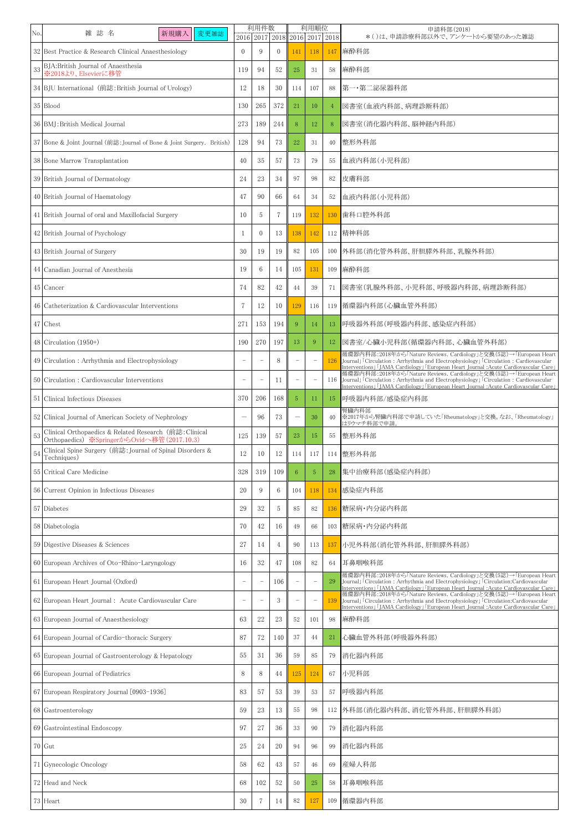| No. | 雑誌名<br>新規購入<br>変更雑誌                                                                                   |                          | 利用件数<br>2016 2017 2018 2016 2017 2018 |                |            | 利用順位                     |     | 申請科部(2018)<br>*()は、申請診療科部以外で、アンケートから要望のあった雑誌                                                                                                                                                                                                                                                                                        |
|-----|-------------------------------------------------------------------------------------------------------|--------------------------|---------------------------------------|----------------|------------|--------------------------|-----|-------------------------------------------------------------------------------------------------------------------------------------------------------------------------------------------------------------------------------------------------------------------------------------------------------------------------------------|
|     | 32 Best Practice & Research Clinical Anaesthesiology                                                  | $\overline{0}$           | 9                                     | $\overline{0}$ | 141        | 118                      | 147 | 麻酔科部                                                                                                                                                                                                                                                                                                                                |
| 33  | BJA:British Journal of Anaesthesia<br>- 。<br>※2018より、Elsevierに移管                                      | 119                      | 94                                    | 52             | 25         | 31                       | 58  | 麻酔科部                                                                                                                                                                                                                                                                                                                                |
|     | 34 BJU International (前誌: British Journal of Urology)                                                 | 12                       | 18                                    | 30             | 114        | 107                      | 88  | 第一・第二泌尿器科部                                                                                                                                                                                                                                                                                                                          |
|     | 35 Blood                                                                                              | 130                      | 265                                   | 372            | 21         | 10                       | -4  | 図書室(血液内科部、病理診断科部)                                                                                                                                                                                                                                                                                                                   |
|     | 36 BMJ: British Medical Journal                                                                       | 273                      | 189                                   | 244            | 8          | 12                       | 8   | 図書室(消化器内科部、脳神経内科部)                                                                                                                                                                                                                                                                                                                  |
|     | 37 Bone & Joint Journal (前誌: Journal of Bone & Joint Surgery. British)                                | 128                      | 94                                    | 73             | 22         | 31                       | 40  | 整形外科部                                                                                                                                                                                                                                                                                                                               |
|     | 38 Bone Marrow Transplantation                                                                        | 40                       | 35                                    | 57             | 73         | 79                       | 55  | 血液内科部(小児科部)                                                                                                                                                                                                                                                                                                                         |
|     | 39 British Journal of Dermatology                                                                     | 24                       | 23                                    | 34             | 97         | 98                       | 82  | 皮膚科部                                                                                                                                                                                                                                                                                                                                |
|     | 40 British Journal of Haematology                                                                     | 47                       | 90                                    | 66             | 64         | 34                       | 52  | 血液内科部(小児科部)                                                                                                                                                                                                                                                                                                                         |
|     | 41 British Journal of oral and Maxillofacial Surgery                                                  | 10                       | 5                                     | $\overline{7}$ | 119        | 132                      |     | 130 歯科口腔外科部                                                                                                                                                                                                                                                                                                                         |
|     | 42 British Journal of Psychology                                                                      | -1                       | $\Omega$                              | 13             | 138        | 142                      |     | 112 精神科部                                                                                                                                                                                                                                                                                                                            |
|     | 43 British Journal of Surgery                                                                         | 30                       | 19                                    | 19             | 82         | 105                      |     | 100   外科部(消化管外科部、肝胆膵外科部、乳腺外科部)                                                                                                                                                                                                                                                                                                      |
|     | 44 Canadian Journal of Anesthesia                                                                     | 19                       | 6                                     | 14             | 105        | 131                      |     | 109 麻酔科部                                                                                                                                                                                                                                                                                                                            |
|     | 45 Cancer                                                                                             | 74                       | 82                                    | 42             | 44         | 39                       | 71  | 図書室(乳腺外科部、小児科部、呼吸器内科部、病理診断科部)                                                                                                                                                                                                                                                                                                       |
|     | 46 Catheterization & Cardiovascular Interventions                                                     | $\overline{7}$           | 12                                    | 10             | 129        | 116                      |     | 119 循環器内科部(心臟血管外科部)                                                                                                                                                                                                                                                                                                                 |
|     | 47 Chest                                                                                              | 271                      | 153                                   | 194            | -9         | 14                       | 13  | 呼吸器外科部(呼吸器内科部、感染症内科部)                                                                                                                                                                                                                                                                                                               |
|     | 48 Circulation $(1950+)$                                                                              | 190                      | 270                                   | 197            | 13         | 9                        | 12  | 図書室/心臓小児科部(循環器内科部、心臓血管外科部)                                                                                                                                                                                                                                                                                                          |
|     | 49 Circulation: Arrhythmia and Electrophysiology                                                      |                          |                                       | 8              |            | $\overline{\phantom{m}}$ | 126 | 循環器内科部:2018年から「Nature Reviews. Cardiology」と交換(5誌)→「European Heart<br>Journal」「Circulation : Arrhythmia and Electrophysiology」「Circulation : Cardiovascular<br><mark>Interventions」「JAMA Cardiology」「European Heart Journal :Acute Cardiovascular Care」</mark><br> 循環器内科部:2018年から「Nature Reviews. Cardiology」と交換(5誌)→「European Heart |
|     | 50 Circulation: Cardiovascular Interventions                                                          |                          |                                       | -11            |            | $\overline{\phantom{m}}$ |     | 116 Journal J Circulation : Arrhythmia and Electrophysiology J Circulation : Cardiovascular<br>Interventions」「JAMA Cardiology」「European Heart Journal :Acute Cardiovascular Care」                                                                                                                                                   |
|     | 51 Clinical Infectious Diseases                                                                       | 370                      | 206                                   | 168            | $\sqrt{5}$ | 11                       |     | 15   呼吸器内科部/感染症内科部                                                                                                                                                                                                                                                                                                                  |
|     | 52 Clinical Journal of American Society of Nephrology                                                 | —                        | 96                                    | 73             |            | 30                       | 40  | 腎臟内科部<br>※2017年から腎臓内科部で申請していた「Rheumatology」と交換。なお、「Rheumatology」<br>はリウマチ科部で申請                                                                                                                                                                                                                                                      |
| 53  | Clinical Orthopaedics & Related Research (前誌: Clinical<br>Orthopaedics) ※SpringerからOvidへ移管(2017.10.3) | 125                      | 139                                   | 57             | 23         | 15                       | 55  | 整形外科部                                                                                                                                                                                                                                                                                                                               |
| 54  | Clinical Spine Surgery (前誌: Journal of Spinal Disorders &<br>Techniques)                              | 12                       | 10                                    | 12             | 114        | 117                      |     | 114 整形外科部                                                                                                                                                                                                                                                                                                                           |
|     | 55 Critical Care Medicine                                                                             | 328                      | 319                                   | 109            | 6          | $5\phantom{.0}$          | 28  | 集中治療科部(感染症内科部)                                                                                                                                                                                                                                                                                                                      |
|     | 56 Current Opinion in Infectious Diseases                                                             | 20                       | 9                                     | 6              | 104        | 118                      |     | 134 感染症内科部                                                                                                                                                                                                                                                                                                                          |
|     | 57 Diabetes                                                                                           | 29                       | 32                                    | 5              | 85         | 82                       |     | 136   糖尿病·内分泌内科部                                                                                                                                                                                                                                                                                                                    |
|     | 58 Diabetologia                                                                                       | 70                       | 42                                    | 16             | 49         | 66                       |     | 103   糖尿病・内分泌内科部                                                                                                                                                                                                                                                                                                                    |
|     | 59 Digestive Diseases & Sciences                                                                      | 27                       | 14                                    | $\overline{4}$ | 90         | 113                      |     | 137  小児外科部(消化管外科部、肝胆膵外科部)                                                                                                                                                                                                                                                                                                           |
|     | 60 European Archives of Oto-Rhino-Laryngology                                                         | 16                       | 32                                    | 47             | 108        | 82                       |     | 64 耳鼻咽喉科部                                                                                                                                                                                                                                                                                                                           |
|     | 61 European Heart Journal (Oxford)                                                                    | $\overline{\phantom{0}}$ |                                       | 106            |            | $\overline{\phantom{m}}$ | 29  | 循環器内科部:2018年から「Nature Reviews. Cardiology」と交換(5誌)→「European Heart<br>Journal J Circulation: Arrhythmia and Electrophysiology J Circulation: Cardiovascular<br>Interventions」「JAMA Cardiology」「European Heart Journal :Acute Cardiovascular Care」                                                                                    |
|     | 62 European Heart Journal : Acute Cardiovascular Care                                                 |                          |                                       | 3              |            | $\overline{\phantom{m}}$ | 139 | 循環器内科部:2018年から「Nature Reviews. Cardiology」と交換(5誌)→「European Heart<br>Journal FCirculation: Arrhythmia and Electrophysiology FCirculation: Cardiovascular<br>Interventions」「JAMA Cardiology」「European Heart Journal :Acute Cardiovascular Care」                                                                                      |
|     | 63 European Journal of Anaesthesiology                                                                | 63                       | 22                                    | 23             | 52         | 101                      | 98  | 麻酔科部                                                                                                                                                                                                                                                                                                                                |
|     | 64 European Journal of Cardio-thoracic Surgery                                                        | 87                       | 72                                    | 140            | 37         | 44                       | 21  | 心臟血管外科部(呼吸器外科部)                                                                                                                                                                                                                                                                                                                     |
|     | 65 European Journal of Gastroenterology & Hepatology                                                  | 55                       | 31                                    | 36             | 59         | 85                       | 79  | 消化器内科部                                                                                                                                                                                                                                                                                                                              |
|     | 66 European Journal of Pediatrics                                                                     | 8                        | 8                                     | 44             | 125        | 124                      |     | 67 小児科部                                                                                                                                                                                                                                                                                                                             |
|     | 67 European Respiratory Journal [0903-1936]                                                           | 83                       | 57                                    | 53             | 39         | 53                       |     | 57 呼吸器内科部                                                                                                                                                                                                                                                                                                                           |
|     | 68 Gastroenterology                                                                                   | 59                       | 23                                    | 13             | 55         | 98                       |     | 112 外科部(消化器内科部、消化管外科部、肝胆膵外科部)                                                                                                                                                                                                                                                                                                       |
|     | 69 Gastrointestinal Endoscopy                                                                         | 97                       | 27                                    | 36             | 33         | 90                       | 79  | 消化器内科部                                                                                                                                                                                                                                                                                                                              |
|     | 70 Gut                                                                                                | 25                       | 24                                    | 20             | 94         | 96                       | 99  | 消化器内科部                                                                                                                                                                                                                                                                                                                              |
|     | 71 Gynecologic Oncology                                                                               | $58\,$                   | 62                                    | 43             | 57         | 46                       | 69  | 産婦人科部                                                                                                                                                                                                                                                                                                                               |
|     | 72 Head and Neck                                                                                      | 68                       | 102                                   | 52             | 50         | 25                       | 58  | 耳鼻咽喉科部                                                                                                                                                                                                                                                                                                                              |
|     | 73 Heart                                                                                              | 30                       | 7                                     | 14             | 82         | 127                      |     | 109 循環器内科部                                                                                                                                                                                                                                                                                                                          |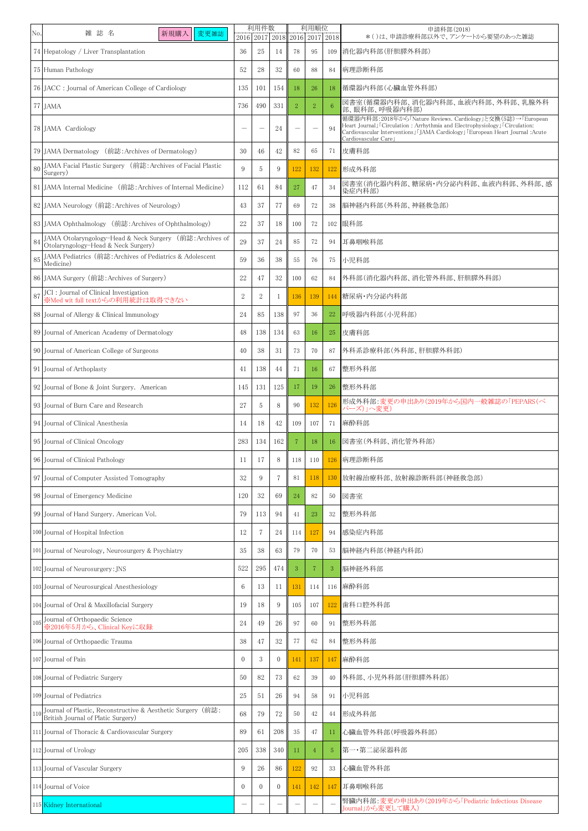| No. | 雑誌名<br>新規購入<br>変更雑誌                                                                               | 利用件数<br>2016 2017 2018 2016 2017 2018 |                |                | 利用順位 |                          | 申請科部(2018)<br>*()は、申請診療科部以外で、アンケートから要望のあった雑誌 |                                                                                                                                                                                                                                                  |
|-----|---------------------------------------------------------------------------------------------------|---------------------------------------|----------------|----------------|------|--------------------------|----------------------------------------------|--------------------------------------------------------------------------------------------------------------------------------------------------------------------------------------------------------------------------------------------------|
|     | 74 Hepatology / Liver Transplantation                                                             | 36                                    | 25             | -14            | 78   | 95                       |                                              | 109 消化器内科部(肝胆膵外科部)                                                                                                                                                                                                                               |
|     | 75 Human Pathology                                                                                | 52                                    | 28             | 32             | 60   | 88                       |                                              | 84 病理診断科部                                                                                                                                                                                                                                        |
|     | 76 JACC : Journal of American College of Cardiology                                               | 135                                   | 101            | 154            | 18   | 26                       | 18                                           | 循環器内科部(心臟血管外科部)                                                                                                                                                                                                                                  |
|     | 77 JAMA                                                                                           | 736                                   | 490            | 331            | 2    | $\overline{2}$           | -6                                           | 図書室(循環器内科部、消化器内科部、血液内科部、外科部、乳腺外科<br>部、眼科部、呼吸器内科部)                                                                                                                                                                                                |
|     | 78 JAMA Cardiology                                                                                | $\overline{\phantom{0}}$              |                | 24             |      | $\overline{\phantom{m}}$ | 94                                           | 循環器内科部:2018年から「Nature Reviews. Cardiology」と交換(5誌)→「European<br>Heart Journal」「Circulation: Arrhythmia and Electrophysiology」「Circulation:<br>Cardiovascular Interventions」「JAMA Cardiology」「European Heart Journal :Acute<br>Cardiovascular Care |
|     | 79 JAMA Dermatology (前誌: Archives of Dermatology)                                                 | 30                                    | 46             | 42             | 82   | 65                       |                                              | 71 皮膚科部                                                                                                                                                                                                                                          |
| 80  | JAMA Facial Plastic Surgery (前誌: Archives of Facial Plastic<br>Surgery)                           | 9                                     | 5              | 9              | 122  | 132                      |                                              | 122 形成外科部                                                                                                                                                                                                                                        |
|     | 81 JAMA Internal Medicine (前誌: Archives of Internal Medicine)                                     | 112                                   | 61             | 84             | 27   | 47                       | 34                                           | 図書室(消化器内科部、糖尿病·内分泌内科部、血液内科部、外科部、感<br>染症内科部)                                                                                                                                                                                                      |
|     | 82 JAMA Neurology (前誌: Archives of Neurology)                                                     | 43                                    | 37             | 77             | 69   | 72                       | 38                                           | 脳神経内科部(外科部、神経救急部)                                                                                                                                                                                                                                |
|     | 83 JAMA Ophthalmology (前誌: Archives of Ophthalmology)                                             | 22                                    | 37             | 18             | 100  | 72                       |                                              | 102 眼科部                                                                                                                                                                                                                                          |
| 84  | JAMA Otolaryngology-Head & Neck Surgery (前誌: Archives of<br>Otolaryngology-Head & Neck Surgery)   | 29                                    | 37             | 24             | 85   | 72                       | 94                                           | 耳鼻咽喉科部                                                                                                                                                                                                                                           |
| 85  | JAMA Pediatrics (前誌: Archives of Pediatrics & Adolescent<br>Medicine)                             | 59                                    | 36             | 38             | 55   | 76                       |                                              | 75 小児科部                                                                                                                                                                                                                                          |
|     | 86 JAMA Surgery (前誌: Archives of Surgery)                                                         | 22                                    | 47             | 32             | 100  | 62                       |                                              | 84  外科部(消化器内科部、消化管外科部、肝胆膵外科部)                                                                                                                                                                                                                    |
| 87  | JCI : Journal of Clinical Investigation<br>※Med wit full textからの利用統計は取得できない                       | 2                                     | 2              | -1             | 136  | 139                      |                                              | 144   糖尿病·内分泌内科部                                                                                                                                                                                                                                 |
|     | 88 Journal of Allergy & Clinical Immunology                                                       | 24                                    | 85             | 138            | 97   | 36                       | 22                                           | 呼吸器内科部(小児科部)                                                                                                                                                                                                                                     |
|     | 89 Journal of American Academy of Dermatology                                                     | 48                                    | 138            | 134            | 63   | 16                       |                                              | 25 皮膚科部                                                                                                                                                                                                                                          |
|     | 90 Journal of American College of Surgeons                                                        | 40                                    | 38             | 31             | 73   | 70                       | 87                                           | 外科系診療科部(外科部、肝胆膵外科部)                                                                                                                                                                                                                              |
|     | 91 Journal of Arthoplasty                                                                         | 41                                    | 138            | 44             | 71   | 16                       | 67                                           | 整形外科部                                                                                                                                                                                                                                            |
|     | 92 Journal of Bone & Joint Surgery. American                                                      | 145                                   | 131            | 125            | 17   | 19                       | 26                                           | 整形外科部                                                                                                                                                                                                                                            |
|     | 93 Journal of Burn Care and Research                                                              | 27                                    | 5              | 8              | 90   | 132                      | 126                                          | 形成外科部:変更の申出あり(2019年から国内一般雑誌の「PEPARS(ペ<br>パーズ)」へ変更)                                                                                                                                                                                               |
|     | 94 Journal of Clinical Anesthesia                                                                 | 14                                    | 18             | 42             | 109  | 107                      |                                              | 71 麻酔科部                                                                                                                                                                                                                                          |
|     | 95 Journal of Clinical Oncology                                                                   | 283                                   | 134            | 162            | 7    | 18                       |                                              | 16 図書室(外科部、消化管外科部)                                                                                                                                                                                                                               |
|     | 96 Journal of Clinical Pathology                                                                  | 11                                    | -17            | 8              | 118  | 110                      |                                              | 126 病理診断科部                                                                                                                                                                                                                                       |
|     | 97 Journal of Computer Assisted Tomography                                                        | 32                                    | 9              | $\overline{7}$ | 81   | 118                      |                                              | 130 放射線治療科部、放射線診断科部 (神経救急部)                                                                                                                                                                                                                      |
|     | 98 Journal of Emergency Medicine                                                                  | 120                                   | 32             | 69             | 24   | 82                       | 50                                           | 図書室                                                                                                                                                                                                                                              |
|     | 99 Journal of Hand Surgery. American Vol.                                                         | 79                                    | 113            | 94             | 41   | 23                       | 32                                           | 整形外科部                                                                                                                                                                                                                                            |
|     | 100 Journal of Hospital Infection                                                                 | 12                                    | 7              | 24             | 114  | 127                      |                                              | 94 感染症内科部                                                                                                                                                                                                                                        |
|     | 101 Journal of Neurology, Neurosurgery & Psychiatry                                               | 35                                    | 38             | 63             | 79   | 70                       |                                              | 53 胭神経内科部 (神経内科部)                                                                                                                                                                                                                                |
|     | 102 Journal of Neurosurgery: JNS                                                                  | 522                                   | 295            | 474            | 3    | $\overline{7}$           | 3                                            | 脳神経外科部                                                                                                                                                                                                                                           |
|     | 103 Journal of Neurosurgical Anesthesiology                                                       | 6                                     | 13             | 11             | 131  | 114                      |                                              | 116 麻酔科部                                                                                                                                                                                                                                         |
|     | 104 Journal of Oral & Maxillofacial Surgery                                                       | 19                                    | 18             | 9              | 105  | 107                      |                                              | 122 歯科口腔外科部                                                                                                                                                                                                                                      |
| 105 | Journal of Orthopaedic Science<br>※2016年5月から、Clinical Keyに収録                                      | 24                                    | 49             | 26             | 97   | 60                       |                                              | 91 整形外科部                                                                                                                                                                                                                                         |
|     | 106 Journal of Orthopaedic Trauma                                                                 | 38                                    | 47             | 32             | 77   | 62                       |                                              | 84 整形外科部                                                                                                                                                                                                                                         |
|     | 107 Journal of Pain                                                                               | $\overline{0}$                        | 3              | $\overline{0}$ | 141  | 137                      |                                              | 147 麻酔科部                                                                                                                                                                                                                                         |
|     | 108 Journal of Pediatric Surgery                                                                  | 50                                    | 82             | 73             | 62   | 39                       | 40                                           | 外科部、小児外科部(肝胆膵外科部)                                                                                                                                                                                                                                |
|     | 109 Journal of Pediatrics                                                                         | 25                                    | 51             | 26             | 94   | 58                       |                                              | 91 小児科部                                                                                                                                                                                                                                          |
| 110 | Journal of Plastic, Reconstructive & Aesthetic Surgery (前誌:<br>British Journal of Platic Surgery) | 68                                    | 79             | 72             | 50   | 42                       | 44 I                                         | 形成外科部                                                                                                                                                                                                                                            |
|     | 111 Journal of Thoracic & Cardiovascular Surgery                                                  | 89                                    | 61             | 208            | 35   | 47                       | 11                                           | 心臟血管外科部(呼吸器外科部)                                                                                                                                                                                                                                  |
|     | 112 Journal of Urology                                                                            | 205                                   | 338            | 340            | 11   | $\overline{4}$           | $\sqrt{5}$                                   | 常一・第二泌尿器科部                                                                                                                                                                                                                                       |
|     | 113 Journal of Vascular Surgery                                                                   | 9                                     | 26             | 86             | 122  | 92                       | 33                                           | 心臟血管外科部                                                                                                                                                                                                                                          |
|     | 114 Journal of Voice                                                                              | $\overline{0}$                        | $\overline{0}$ | $\overline{0}$ | 141  | 142                      |                                              | 147 耳鼻咽喉科部                                                                                                                                                                                                                                       |
|     | 115 Kidney International                                                                          | $\qquad \qquad \longleftarrow$        |                |                |      | $\overline{\phantom{0}}$ |                                              | 腎臓内科部:変更の申出あり(2019年から「Pediatric Infectious Disease<br>Journal」から変更して購入)                                                                                                                                                                          |